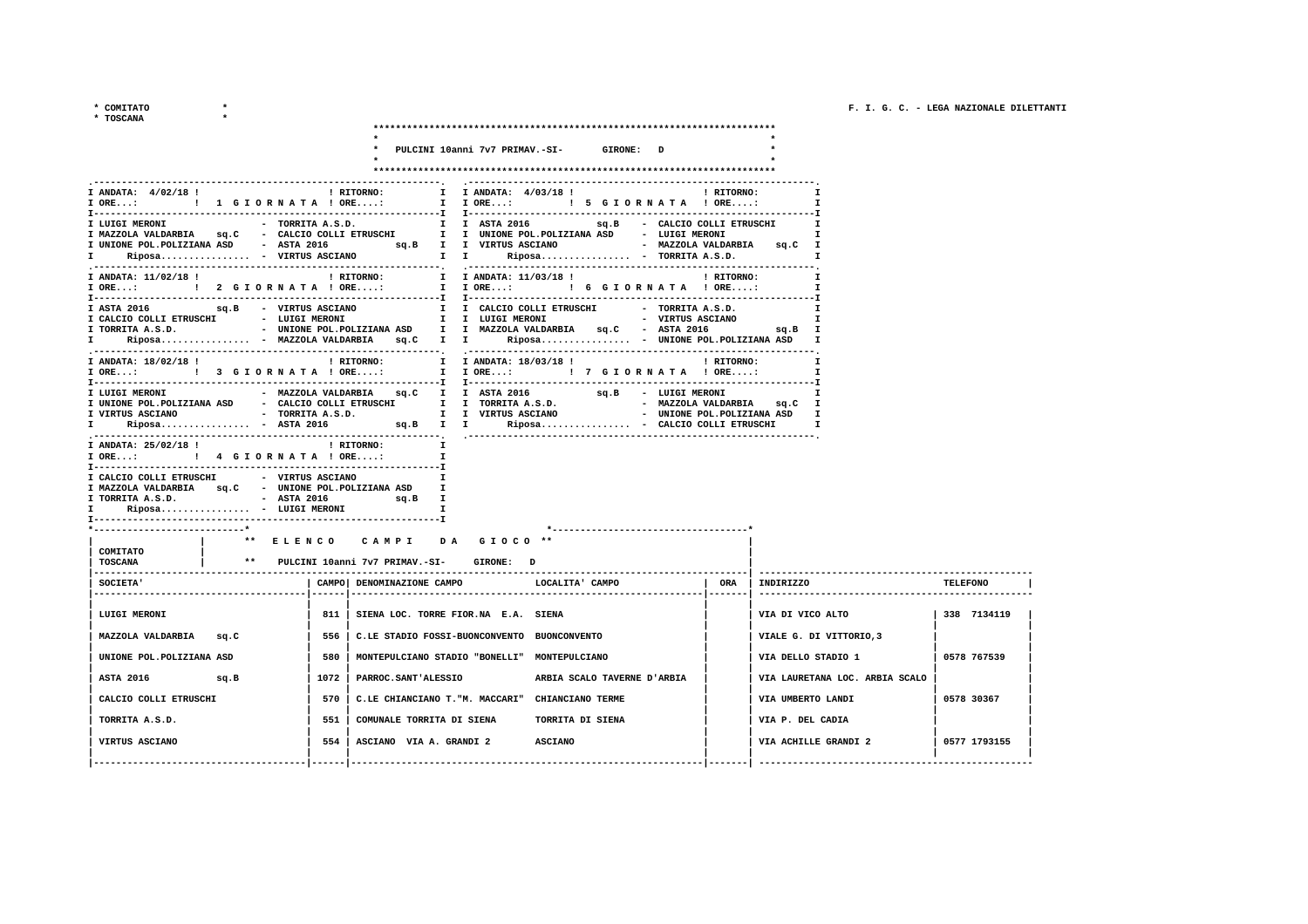\* COMITATO  $\mathbf{r}$ 

| <b>TOSCANA</b>                                                                                                                                                                                                                                                                                                                                                                                                            |            |                                                                            |                                    |            |                   |                                |                 |
|---------------------------------------------------------------------------------------------------------------------------------------------------------------------------------------------------------------------------------------------------------------------------------------------------------------------------------------------------------------------------------------------------------------------------|------------|----------------------------------------------------------------------------|------------------------------------|------------|-------------------|--------------------------------|-----------------|
|                                                                                                                                                                                                                                                                                                                                                                                                                           |            | PULCINI 10anni 7v7 PRIMAV.-SI-                                             | GIRONE: D                          |            |                   |                                |                 |
|                                                                                                                                                                                                                                                                                                                                                                                                                           |            |                                                                            |                                    |            |                   |                                |                 |
| I ANDATA: 4/02/18! [RITORNO: I I ANDATA: 4/03/18! [RITORNO: I CHE: [1] ANDATA: 4/03/18 [2] I RETORNO: I ORE: [1] ORE: I DRE: [1] ORE: I DRE: I DRE: I DRE: I DRE: I DRE: I DRE: I D                                                                                                                                                                                                                                       |            |                                                                            |                                    |            |                   |                                |                 |
| I UNIONE POL.POLIZIANA ASD - ASTA 2016 9q.B I I VIRTUS ASCIANO - MAZZOLA VALDARBIA 9q.C I                                                                                                                                                                                                                                                                                                                                 |            |                                                                            |                                    |            |                   | $\mathbf{r}$<br>$\mathbf{r}$   |                 |
| I ANDATA: 11/02/18! [RITORNO: I I ANDATA: 11/03/18! [RITORNO: LORE: [2] GIORNATA ! ORE: I I ORE: [6]                                                                                                                                                                                                                                                                                                                      |            |                                                                            |                                    | ! RITORNO: |                   | $\mathbf{I}$<br>$\mathbf \tau$ |                 |
| $\begin{tabular}{ccccccccc} I ASTA & 2016 & & sq.B & - VIRTUS ASCIINO & & I & CLL CIO COLLI ETRUSCHI & - TORRITA A.S.D. & I \\ & I CALCIO COLLI ETRUSCHI & - LUIGI MERONI & I LUIGI MERONI & - VIRTUS ASCIINO & I \\ I TORRITA A.S.D. & - UNIONE POL.POLIZIANA ASD & I & MAZZOLA VALDARBIA & sq.C & - ASTA 2016 & sq.B & I \\ \end{tabular}$<br>I Riposa - MAZZOLA VALDARBIA sq.C I I Riposa - UNIONE POL.POLIZIANA ASD I |            |                                                                            |                                    |            |                   |                                |                 |
| I ANDATA: 18/02/18 !<br>I ORE: [ ] 3 GIORNATA ! ORE: [ I ORE: [ 7 GIORNATA ! ORE:                                                                                                                                                                                                                                                                                                                                         |            | ! RITORNO: T I ANDATA: 18/03/18 !                                          |                                    | ! RITORNO: |                   | $\mathbf{r}$<br>$\mathbf{r}$   |                 |
| I UNIONE POL.POLIZIANA ASD - CALCIO COLLI ETRUSCHI II I TORRITA A.S.D.     - MAZZOLA VALDARBIA 9q.C I I VIRTUS ASCIANO   - TORRITA A.S.D.     I VIRTUS ASCIANO   - TORRITA A.S.D.<br>Riposa - ASTA 2016 9q.B I I Riposa - CALCIO COLLI ETRUSCHI                                                                                                                                                                           |            |                                                                            |                                    |            |                   | $\mathbf{I}$                   |                 |
| I ANDATA: 25/02/18 !<br>I ORE: ! 4 G I OR N A T A ! ORE:<br>I CALCIO COLLI ETRUSCHI - VIRTUS ASCIANO<br>I MAZZOLA VALDARBIA sq.C - UNIONE POL.POLIZIANA ASD I<br>I TORRITA A.S.D. - ASTA 2016 9q.B I<br>Riposa - LUIGI MERONI<br>T.                                                                                                                                                                                       | ! RITORNO: | $\mathbf{r}$<br>T                                                          |                                    |            |                   |                                |                 |
| COMITATO<br>TOSCANA                                                                                                                                                                                                                                                                                                                                                                                                       |            | ** ELENCO CAMPI DA GIOCO **<br>** PULCINI 10anni 7v7 PRIMAV.-SI- GIRONE: D |                                    |            |                   |                                |                 |
| ------------------------------------<br>SOCIETA'                                                                                                                                                                                                                                                                                                                                                                          |            | CAMPO DENOMINAZIONE CAMPO                                                  | LOCALITA' CAMPO                    | ORA        | INDIRIZZO         |                                | <b>TELEFONO</b> |
| LUIGI MERONI                                                                                                                                                                                                                                                                                                                                                                                                              |            | 811   SIENA LOC. TORRE FIOR.NA E.A. SIENA                                  |                                    |            | VIA DI VICO ALTO  |                                | 338 7134119     |
| MAZZOLA VALDARBIA sq.C                                                                                                                                                                                                                                                                                                                                                                                                    | 556        | C.LE STADIO FOSSI-BUONCONVENTO BUONCONVENTO                                |                                    |            |                   | VIALE G. DI VITTORIO, 3        |                 |
| UNIONE POL. POLIZIANA ASD                                                                                                                                                                                                                                                                                                                                                                                                 | 580        | MONTEPULCIANO STADIO "BONELLI" MONTEPULCIANO                               |                                    |            |                   | VIA DELLO STADIO 1             | 0578 767539     |
| <b>ASTA 2016</b><br>sq.B                                                                                                                                                                                                                                                                                                                                                                                                  | 1072       | <b>PARROC. SANT'ALESSIO</b>                                                | ARBIA SCALO TAVERNE D'ARBIA        |            |                   | VIA LAURETANA LOC. ARBIA SCALO |                 |
| CALCIO COLLI ETRUSCHI                                                                                                                                                                                                                                                                                                                                                                                                     | 570        | C.LE CHIANCIANO T. "M. MACCARI" CHIANCIANO TERME                           |                                    |            | VIA UMBERTO LANDI |                                | 0578 30367      |
| TORRITA A.S.D.<br>VIRTUS ASCIANO                                                                                                                                                                                                                                                                                                                                                                                          | 551        | COMUNALE TORRITA DI SIENA<br>554   ASCIANO VIA A. GRANDI 2                 | TORRITA DI SIENA<br><b>ASCIANO</b> |            | VIA P. DEL CADIA  | VIA ACHILLE GRANDI 2           | 0577 1793155    |
| --------------------------------------                                                                                                                                                                                                                                                                                                                                                                                    | ------     |                                                                            |                                    |            |                   |                                |                 |